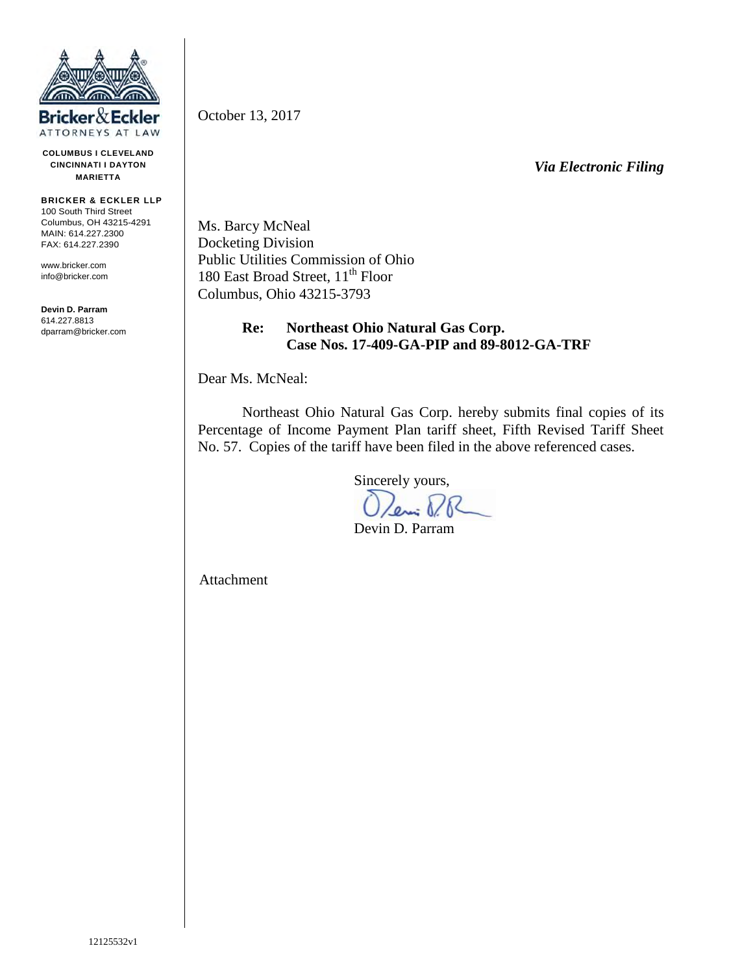

**COLUMBUS I CLEVELAND CINCINNATI I DAYTON MARIETTA**

**BRICKER & ECKLER LLP** 100 South Third Street Columbus, OH 43215-4291 MAIN: 614.227.2300 FAX: 614.227.2390

www.bricker.com info@bricker.com

**Devin D. Parram** 614.227.8813 dparram@bricker.com October 13, 2017

*Via Electronic Filing*

Ms. Barcy McNeal Docketing Division Public Utilities Commission of Ohio 180 East Broad Street, 11<sup>th</sup> Floor Columbus, Ohio 43215-3793

## **Re: Northeast Ohio Natural Gas Corp. Case Nos. 17-409-GA-PIP and 89-8012-GA-TRF**

Dear Ms. McNeal:

Northeast Ohio Natural Gas Corp. hereby submits final copies of its Percentage of Income Payment Plan tariff sheet, Fifth Revised Tariff Sheet No. 57. Copies of the tariff have been filed in the above referenced cases.

Sincerely yours,

Leni P.R

Devin D. Parram

Attachment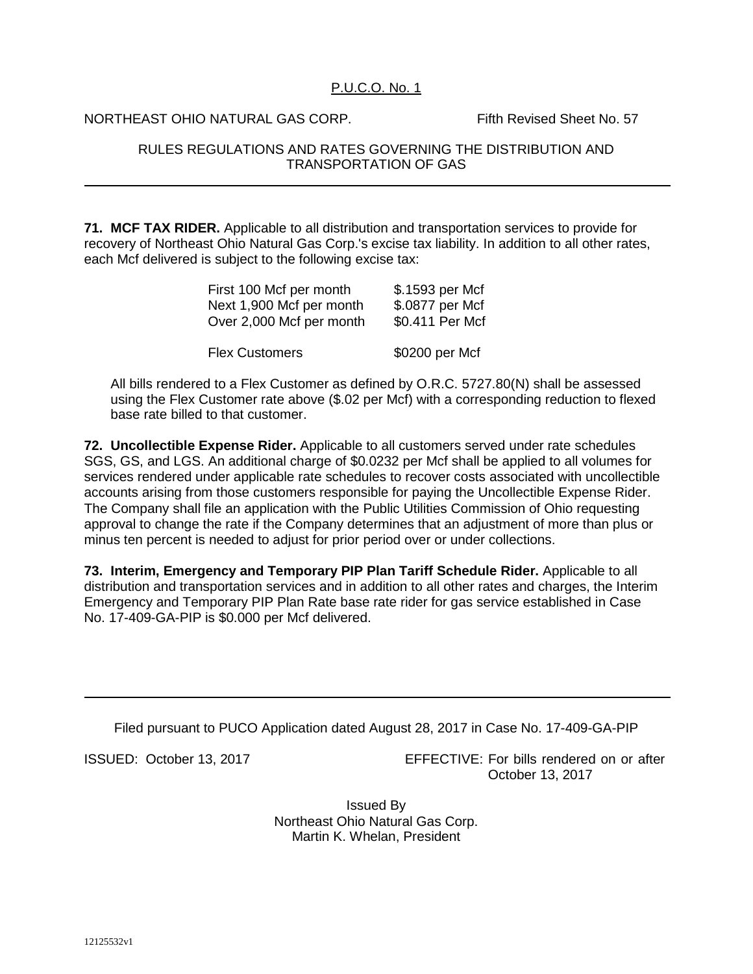## P.U.C.O. No. 1

NORTHEAST OHIO NATURAL GAS CORP. Fifth Revised Sheet No. 57

## RULES REGULATIONS AND RATES GOVERNING THE DISTRIBUTION AND TRANSPORTATION OF GAS

**71. MCF TAX RIDER.** Applicable to all distribution and transportation services to provide for recovery of Northeast Ohio Natural Gas Corp.'s excise tax liability. In addition to all other rates, each Mcf delivered is subject to the following excise tax:

| First 100 Mcf per month  | \$.1593 per Mcf |
|--------------------------|-----------------|
| Next 1,900 Mcf per month | \$.0877 per Mcf |
| Over 2,000 Mcf per month | \$0.411 Per Mcf |
| <b>Flex Customers</b>    | \$0200 per Mcf  |

All bills rendered to a Flex Customer as defined by O.R.C. 5727.80(N) shall be assessed using the Flex Customer rate above (\$.02 per Mcf) with a corresponding reduction to flexed base rate billed to that customer.

**72. Uncollectible Expense Rider.** Applicable to all customers served under rate schedules SGS, GS, and LGS. An additional charge of \$0.0232 per Mcf shall be applied to all volumes for services rendered under applicable rate schedules to recover costs associated with uncollectible accounts arising from those customers responsible for paying the Uncollectible Expense Rider. The Company shall file an application with the Public Utilities Commission of Ohio requesting approval to change the rate if the Company determines that an adjustment of more than plus or minus ten percent is needed to adjust for prior period over or under collections.

**73. Interim, Emergency and Temporary PIP Plan Tariff Schedule Rider.** Applicable to all distribution and transportation services and in addition to all other rates and charges, the Interim Emergency and Temporary PIP Plan Rate base rate rider for gas service established in Case No. 17-409-GA-PIP is \$0.000 per Mcf delivered.

Filed pursuant to PUCO Application dated August 28, 2017 in Case No. 17-409-GA-PIP

ISSUED: October 13, 2017 EFFECTIVE: For bills rendered on or after October 13, 2017

> Issued By Northeast Ohio Natural Gas Corp. Martin K. Whelan, President